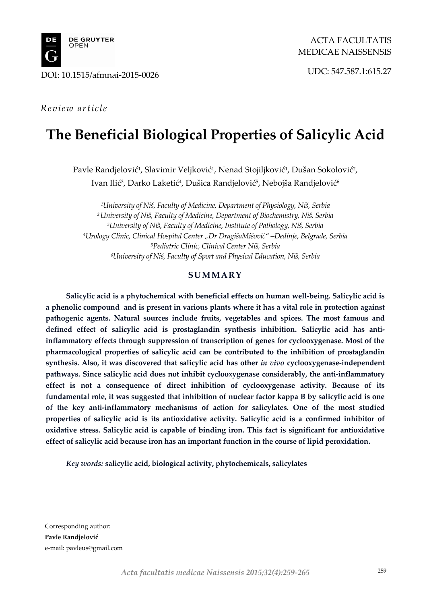

# *Review article*

# **The Beneficial Biological Properties of Salicylic Acid**

Pavle Randjelović<sup>1</sup>, Slavimir Veljković<sup>1</sup>, Nenad Stojiljković<sup>1</sup>, Dušan Sokolović<sup>2</sup>, Ivan Ilić<sup>3</sup>, Darko Laketić<sup>4</sup>, Dušica Randjelović<sup>5</sup>, Nebojša Randjelović<sup>6</sup>

*1University of Niš, Faculty of Medicine, Department of Physiology, Niš, Serbia 2 University of Niš, Faculty of Medicine, Department of Biochemistry, Niš, Serbia 3University of Niš, Faculty of Medicine, Institute of Pathology, Niš, Serbia 4Urology Clinic, Clinical Hospital Center "Dr DragišaMišović" –Dedinje, Belgrade, Serbia 5Pediatric Clinic, Clinical Center Niš, Serbia 6 University of Niš, Faculty of Sport and Physical Education, Niš, Serbia*

## **SUMMARY**

**Salicylic acid is a phytochemical with beneficial effects on human well-being. Salicylic acid is a phenolic compound and is present in various plants where it has a vital role in protection against pathogenic agents. Natural sources include fruits, vegetables and spices. The most famous and defined effect of salicylic acid is prostaglandin synthesis inhibition. Salicylic acid has antiinflammatory effects through suppression of transcription of genes for cyclooxygenase. Most of the pharmacological properties of salicylic acid can be contributed to the inhibition of prostaglandin synthesis. Also, it was discovered that salicylic acid has other** *in vivo* **cyclooxygenase-independent pathways. Since salicylic acid does not inhibit cyclooxygenase considerably, the anti-inflammatory effect is not a consequence of direct inhibition of cyclooxygenase activity. Because of its fundamental role, it was suggested that inhibition of nuclear factor kappa B by salicylic acid is one of the key anti-inflammatory mechanisms of action for salicylates. One of the most studied properties of salicylic acid is its antioxidative activity. Salicylic acid is a confirmed inhibitor of oxidative stress. Salicylic acid is capable of binding iron. This fact is significant for antioxidative effect of salicylic acid because iron has an important function in the course of lipid peroxidation.**

*Key words:* **salicylic acid, biological activity, phytochemicals, salicylates**

Corresponding author: **Pavle Randjelović**  e-mail: pavleus@gmail.com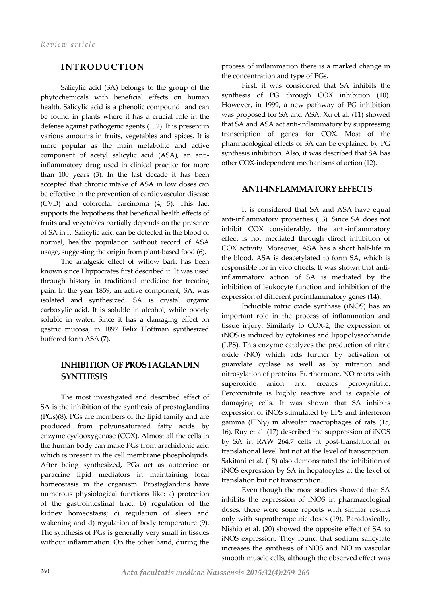## **INTRODUCTION**

Salicylic acid (SA) belongs to the group of the phytochemicals with beneficial effects on human health. Salicylic acid is a phenolic compound and can be found in plants where it has a crucial role in the defense against pathogenic agents (1, 2). It is present in various amounts in fruits, vegetables and spices. It is more popular as the main metabolite and active component of acetyl salicylic acid (ASA), an antiinflammatory drug used in clinical practice for more than 100 years (3). In the last decade it has been accepted that chronic intake of ASA in low doses can be effective in the prevention of cardiovascular disease (CVD) and colorectal carcinoma (4, 5). This fact supports the hypothesis that beneficial health effects of fruits and vegetables partially depends on the presence of SA in it. Salicylic acid can be detected in the blood of normal, healthy population without record of ASA usage, suggesting the origin from plant-based food (6).

The analgesic effect of willow bark has been known since Hippocrates first described it. It was used through history in traditional medicine for treating pain. In the year 1859, an active component, SA, was isolated and synthesized. SA is crystal organic carboxylic acid. It is soluble in alcohol, while poorly soluble in water. Since it has a damaging effect on gastric mucosa, in 1897 Felix Hoffman synthesized buffered form ASA (7).

## **INHIBITION OF PROSTAGLANDIN SYNTHESIS**

The most investigated and described effect of SA is the inhibition of the synthesis of prostaglandins (PGs)(8). PGs are members of the lipid family and are produced from polyunsaturated fatty acids by enzyme cyclooxygenase (COX). Almost all the cells in the human body can make PGs from arachidonic acid which is present in the cell membrane phospholipids. After being synthesized, PGs act as autocrine or paracrine lipid mediators in maintaining local homeostasis in the organism. Prostaglandins have numerous physiological functions like: a) protection of the gastrointestinal tract; b) regulation of the kidney homeostasis; c) regulation of sleep and wakening and d) regulation of body temperature (9). The synthesis of PGs is generally very small in tissues without inflammation. On the other hand, during the

process of inflammation there is a marked change in the concentration and type of PGs.

First, it was considered that SA inhibits the synthesis of PG through COX inhibition (10). However, in 1999, a new pathway of PG inhibition was proposed for SA and ASA. Xu et al. (11) showed that SA and ASA act anti-inflammatory by suppressing transcription of genes for COX. Most of the pharmacological effects of SA can be explained by PG synthesis inhibition. Also, it was described that SA has other COX-independent mechanisms of action (12).

#### **ANTI-INFLAMMATORY EFFECTS**

It is considered that SA and ASA have equal anti-inflammatory properties (13). Since SA does not inhibit COX considerably, the anti-inflammatory effect is not mediated through direct inhibition of COX activity. Moreover, ASA has a short half-life in the blood. ASA is deacetylated to form SA, which is responsible for in vivo effects. It was shown that antiinflammatory action of SA is mediated by the inhibition of leukocyte function and inhibition of the expression of different proinflammatory genes (14).

Inducible nitric oxide synthase (iNOS) has an important role in the process of inflammation and tissue injury. Similarly to COX-2, the expression of iNOS is induced by cytokines and lipopolysaccharide (LPS). This enzyme catalyzes the production of nitric oxide (NO) which acts further by activation of guanylate cyclase as well as by nitration and nitrosylation of proteins. Furthermore, NO reacts with superoxide anion and creates peroxynitrite. Peroxynitrite is highly reactive and is capable of damaging cells. It was shown that SA inhibits expression of iNOS stimulated by LPS and interferon gamma (IFN $\gamma$ ) in alveolar macrophages of rats (15, 16). Ruy et al .(17) described the suppression of iNOS by SA in RAW 264.7 cells at post-translational or translational level but not at the level of transcription. Sakitani et al. (18) also demonstrated the inhibition of iNOS expression by SA in hepatocytes at the level of translation but not transcription.

Even though the most studies showed that SA inhibits the expression of iNOS in pharmacological doses, there were some reports with similar results only with supratherapeutic doses (19). Paradoxically, Nishio et al. (20) showed the opposite effect of SA to iNOS expression. They found that sodium salicylate increases the synthesis of iNOS and NO in vascular smooth muscle cells, although the observed effect was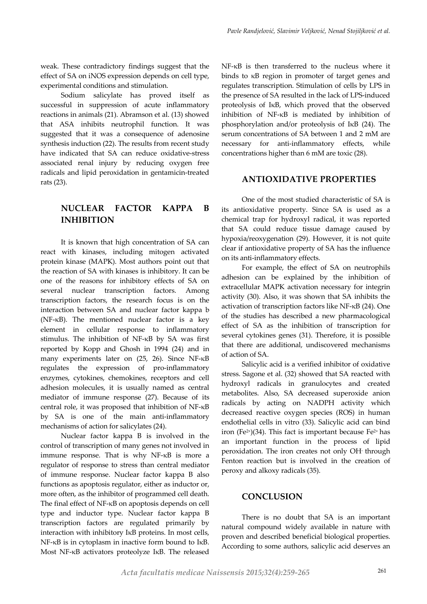weak. These contradictory findings suggest that the effect of SA on iNOS expression depends on cell type, experimental conditions and stimulation.

Sodium salicylate has proved itself as successful in suppression of acute inflammatory reactions in animals (21). Abramson et al. (13) showed that ASA inhibits neutrophil function. It was suggested that it was a consequence of adenosine synthesis induction (22). The results from recent study have indicated that SA can reduce oxidative-stress associated renal injury by reducing oxygen free radicals and lipid peroxidation in gentamicin-treated rats (23).

## **NUCLEAR FACTOR KAPPA B INHIBITION**

It is known that high concentration of SA can react with kinases, including mitogen activated protein kinase (MAPK). Most authors point out that the reaction of SA with kinases is inhibitory. It can be one of the reasons for inhibitory effects of SA on several nuclear transcription factors. Among transcription factors, the research focus is on the interaction between SA and nuclear factor kappa b (NF-κB). The mentioned nuclear factor is a key element in cellular response to inflammatory stimulus. The inhibition of NF-κB by SA was first reported by Kopp and Ghosh in 1994 (24) and in many experiments later on (25, 26). Since NF-κB regulates the expression of pro-inflammatory enzymes, cytokines, chemokines, receptors and cell adhesion molecules, it is usually named as central mediator of immune response (27). Because of its central role, it was proposed that inhibition of NF-κB by SA is one of the main anti-inflammatory mechanisms of action for salicylates (24).

Nuclear factor kappa B is involved in the control of transcription of many genes not involved in immune response. That is why NF-κB is more a regulator of response to stress than central mediator of immune response. Nuclear factor kappa B also functions as apoptosis regulator, either as inductor or, more often, as the inhibitor of programmed cell death. The final effect of NF-κB on apoptosis depends on cell type and inductor type. Nuclear factor kappa B transcription factors are regulated primarily by interaction with inhibitory IκB proteins. In most cells, NF-κB is in cytoplasm in inactive form bound to IκB. Most NF-κB activators proteolyze IκB. The released

NF-κB is then transferred to the nucleus where it binds to κB region in promoter of target genes and regulates transcription. Stimulation of cells by LPS in the presence of SA resulted in the lack of LPS-induced proteolysis of IκB, which proved that the observed inhibition of NF-κB is mediated by inhibition of phosphorylation and/or proteolysis of IκB (24). The serum concentrations of SA between 1 and 2 mM are necessary for anti-inflammatory effects, while concentrations higher than 6 mM are toxic (28).

#### **ANTIOXIDATIVE PROPERTIES**

One of the most studied characteristic of SA is its antioxidative property. Since SA is used as a chemical trap for hydroxyl radical, it was reported that SA could reduce tissue damage caused by hypoxia/reoxygenation (29). However, it is not quite clear if antioxidative property of SA has the influence on its anti-inflammatory effects.

For example, the effect of SA on neutrophils adhesion can be explained by the inhibition of extracellular MAPK activation necessary for integrin activity (30). Also, it was shown that SA inhibits the activation of transcription factors like NF-κB (24). One of the studies has described a new pharmacological effect of SA as the inhibition of transcription for several cytokines genes (31). Therefore, it is possible that there are additional, undiscovered mechanisms of action of SA.

Salicylic acid is a verified inhibitor of oxidative stress. Sagone et al. (32) showed that SA reacted with hydroxyl radicals in granulocytes and created metabolites. Also, SA decreased superoxide anion radicals by acting on NADPH activity which decreased reactive oxygen species (ROS) in human endothelial cells in vitro (33). Salicylic acid can bind iron (Fe<sup>2+</sup>)(34). This fact is important because Fe<sup>2+</sup> has an important function in the process of lipid peroxidation. The iron creates not only OH- through Fenton reaction but is involved in the creation of peroxy and alkoxy radicals (35).

#### **CONCLUSION**

There is no doubt that SA is an important natural compound widely available in nature with proven and described beneficial biological properties. According to some authors, salicylic acid deserves an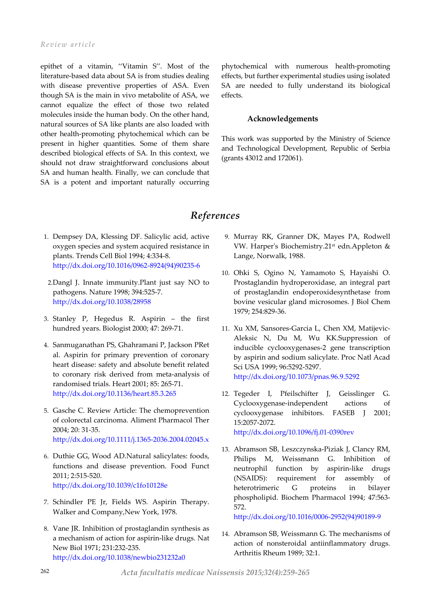epithet of a vitamin, ''Vitamin S''. Most of the literature-based data about SA is from studies dealing with disease preventive properties of ASA. Even though SA is the main in vivo metabolite of ASA, we cannot equalize the effect of those two related molecules inside the human body. On the other hand, natural sources of SA like plants are also loaded with other health-promoting phytochemical which can be present in higher quantities. Some of them share described biological effects of SA. In this context, we should not draw straightforward conclusions about SA and human health. Finally, we can conclude that SA is a potent and important naturally occurring phytochemical with numerous health-promoting effects, but further experimental studies using isolated SA are needed to fully understand its biological effects.

#### **Acknowledgements**

This work was supported by the Ministry of Science and Technological Development, Republic of Serbia (grants 43012 and 172061).

## *References*

- 1. Dempsey DA, Klessing DF. Salicylic acid, active oxygen species and system acquired resistance in plants. Trends Cell Biol 1994; 4:334-8. [http://dx.doi.org/10.1016/0962-8924\(94\)90235-6](http://dx.doi.org/10.1016/0962-8924(94)90235-6)
- 2.Dangl J. Innate immunity.Plant just say NO to pathogens. Nature 1998; 394:525-7. <http://dx.doi.org/10.1038/28958>
- 3. Stanley P, Hegedus R. Aspirin the first hundred years. Biologist 2000; 47: 269-71.
- 4. Sanmuganathan PS, Ghahramani P, Jackson PRet al. Aspirin for primary prevention of coronary heart disease: safety and absolute benefit related to coronary risk derived from meta-analysis of randomised trials. Heart 2001; 85: 265-71. <http://dx.doi.org/10.1136/heart.85.3.265>
- 5. Gasche C. Review Article: The chemoprevention of colorectal carcinoma. Aliment Pharmacol Ther 2004; 20: 31-35. <http://dx.doi.org/10.1111/j.1365-2036.2004.02045.x>
- 6. Duthie GG, Wood AD.Natural salicylates: foods, functions and disease prevention. Food Funct 2011; 2:515-520. <http://dx.doi.org/10.1039/c1fo10128e>
- 7. Schindler PE Jr, Fields WS. Aspirin Therapy. Walker and Company,New York, 1978.
- 8. Vane JR. Inhibition of prostaglandin synthesis as a mechanism of action for aspirin-like drugs. Nat New Biol 1971; 231:232-235. <http://dx.doi.org/10.1038/newbio231232a0>
- 9. Murray RK, Granner DK, Mayes PA, Rodwell VW. Harper's Biochemistry.21st edn.Appleton & Lange, Norwalk, 1988.
- 10. Ohki S, Ogino N, Yamamoto S, Hayaishi O. Prostaglandin hydroperoxidase, an integral part of prostaglandin endoperoxidesynthetase from bovine vesicular gland microsomes. J Biol Chem 1979; 254:829-36.
- 11. Xu XM, Sansores-Garcia L, Chen XM, Matijevic-Aleksic N, Du M, Wu KK.Suppression of inducible cyclooxygenases-2 gene transcription by aspirin and sodium salicylate. Proc Natl Acad Sci USA 1999; 96:5292-5297. <http://dx.doi.org/10.1073/pnas.96.9.5292>
- 12. Tegeder I, Pfeilschifter J, Geisslinger G. Cyclooxygenase-independent actions of cyclooxygenase inhibitors. FASEB J 2001; 15:2057-2072. <http://dx.doi.org/10.1096/fj.01-0390rev>
- 13. Abramson SB, Leszczynska-Piziak J, Clancy RM, Philips M, Weissmann G. Inhibition of neutrophil function by aspirin-like drugs (NSAIDS): requirement for assembly of heterotrimeric G proteins in bilayer phospholipid. Biochem Pharmacol 1994; 47:563- 572.

[http://dx.doi.org/10.1016/0006-2952\(94\)90189-9](http://dx.doi.org/10.1016/0006-2952(94)90189-9)

14. Abramson SB, Weissmann G. The mechanisms of action of nonsteroidal antiinflammatory drugs. Arthritis Rheum 1989; 32:1.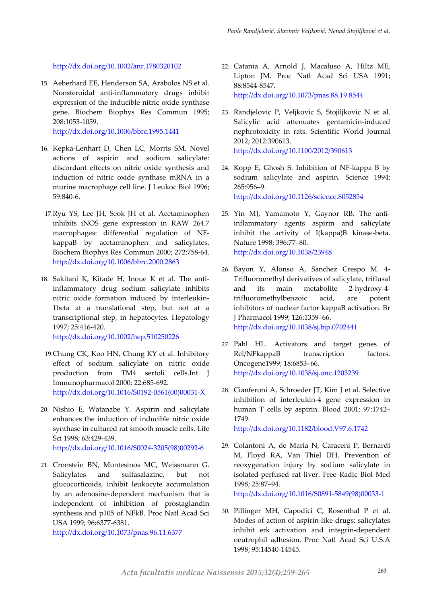<http://dx.doi.org/10.1002/anr.1780320102>

15. Aeberhard EE, Henderson SA, Arabolos NS et al. Nonsteroidal anti-inflammatory drugs inhibit expression of the inducible nitric oxide synthase gene. Biochem Biophys Res Commun 1995; 208:1053-1059.

<http://dx.doi.org/10.1006/bbrc.1995.1441>

- 16. Kepka-Lenhart D, Chen LC, Morris SM. Novel actions of aspirin and sodium salicylate: discordant effects on nitric oxide synthesis and induction of nitric oxide synthase mRNA in a murine macrophage cell line. J Leukoc Biol 1996; 59:840-6.
- 17.Ryu YS, Lee JH, Seok JH et al. Acetaminophen inhibits iNOS gene expression in RAW 264.7 macrophages: differential regulation of NFkappaB by acetaminophen and salicylates. Biochem Biophys Res Commun 2000; 272:758-64. <http://dx.doi.org/10.1006/bbrc.2000.2863>
- 18. Sakitani K, Kitade H, Inoue K et al. The antiinflammatory drug sodium salicylate inhibits nitric oxide formation induced by interleukin-1beta at a translational step, but not at a transcriptional step, in hepatocytes. Hepatology 1997; 25:416-420.

<http://dx.doi.org/10.1002/hep.510250226>

- 19.Chung CK, Koo HN, Chung KY et al. Inhibitory effect of sodium salicylate on nitric oxide production from TM4 sertoli cells.Int J Immunopharmacol 2000; 22:685-692. [http://dx.doi.org/10.1016/S0192-0561\(00\)00031-X](http://dx.doi.org/10.1016/S0192-0561(00)00031-X)
- 20. Nishio E, Watanabe Y. Aspirin and salicylate enhances the induction of inducible nitric oxide synthase in cultured rat smooth muscle cells. Life Sci 1998; 63:429-439. [http://dx.doi.org/10.1016/S0024-3205\(98\)00292-6](http://dx.doi.org/10.1016/S0024-3205(98)00292-6)
- 21. Cronstein BN, Montesinos MC, Weissmann G. Salicylates and sulfasalazine, but not glucocorticoids, inhibit leukocyte accumulation by an adenosine-dependent mechanism that is independent of inhibition of prostaglandin synthesis and p105 of NFkB. Proc Natl Acad Sci USA 1999; 96:6377-6381.

<http://dx.doi.org/10.1073/pnas.96.11.6377>

- 22. Catania A, Arnold J, Macaluso A, Hiltz ME, Lipton JM. Proc Natl Acad Sci USA 1991; 88:8544-8547. <http://dx.doi.org/10.1073/pnas.88.19.8544>
- 23. Randjelovic P, Veljkovic S, Stojiljkovic N et al. Salicylic acid attenuates gentamicin-induced nephrotoxicity in rats. Scientific World Journal 2012; 2012:390613. <http://dx.doi.org/10.1100/2012/390613>
- 24. Kopp E, Ghosh S. Inhibition of NF-kappa B by sodium salicylate and aspirin. Science 1994; 265:956–9. <http://dx.doi.org/10.1126/science.8052854>
- 25. Yin MJ, Yamamoto Y, Gaynor RB. The antiinflammatory agents aspirin and salicylate inhibit the activity of I(kappa)B kinase-beta. Nature 1998; 396:77–80. <http://dx.doi.org/10.1038/23948>
- 26. Bayon Y, Alonso A, Sanchez Crespo M. 4- Trifluoromethyl derivatives of salicylate, triflusal and its main metabolite 2-hydroxy-4 trifluoromethylbenzoic acid, are potent inhibitors of nuclear factor kappaB activation. Br J Pharmacol 1999; 126:1359–66. <http://dx.doi.org/10.1038/sj.bjp.0702441>
- 27. Pahl HL. Activators and target genes of Rel/NFkappaB transcription factors. Oncogene1999; 18:6853–66. <http://dx.doi.org/10.1038/sj.onc.1203239>
- 28. Cianferoni A, Schroeder JT, Kim J et al. Selective inhibition of interleukin-4 gene expression in human T cells by aspirin. Blood 2001; 97:1742– 1749. <http://dx.doi.org/10.1182/blood.V97.6.1742>
- 29. Colantoni A, de Maria N, Caraceni P, Bernardi M, Floyd RA, Van Thiel DH. Prevention of reoxygenation injury by sodium salicylate in isolated-perfused rat liver. Free Radic Biol Med 1998; 25:87–94.

[http://dx.doi.org/10.1016/S0891-5849\(98\)00033-1](http://dx.doi.org/10.1016/S0891-5849(98)00033-1)

30. Pillinger MH, Capodici C, Rosenthal P et al. Modes of action of aspirin-like drugs: salicylates inhibit erk activation and integrin-dependent neutrophil adhesion. Proc Natl Acad Sci U.S.A 1998; 95:14540-14545.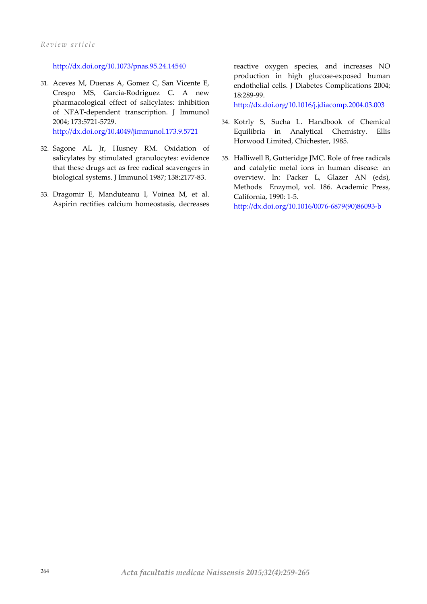#### <http://dx.doi.org/10.1073/pnas.95.24.14540>

- 31. Aceves M, Duenas A, Gomez C, San Vicente E, Crespo MS, Garcia-Rodriguez C. A new pharmacological effect of salicylates: inhibition of NFAT-dependent transcription. J Immunol 2004; 173:5721-5729. <http://dx.doi.org/10.4049/jimmunol.173.9.5721>
- 32. Sagone AL Jr, Husney RM. Oxidation of salicylates by stimulated granulocytes: evidence that these drugs act as free radical scavengers in biological systems. J Immunol 1987; 138:2177-83.
- 33. Dragomir E, Manduteanu I, Voinea M, et al. Aspirin rectifies calcium homeostasis, decreases

reactive oxygen species, and increases NO production in high glucose-exposed human endothelial cells. J Diabetes Complications 2004; 18:289-99.

<http://dx.doi.org/10.1016/j.jdiacomp.2004.03.003>

- 34. Kotrly S, Sucha L. Handbook of Chemical Equilibria in Analytical Chemistry. Ellis Horwood Limited, Chichester, 1985.
- 35. Halliwell B, Gutteridge JMC. Role of free radicals and catalytic metal ions in human disease: an overview. In: Packer L, Glazer AN (eds), Methods Enzymol, vol. 186. Academic Press, California, 1990: 1-5. [http://dx.doi.org/10.1016/0076-6879\(90\)86093-b](http://dx.doi.org/10.1016/0076-6879(90)86093-b)